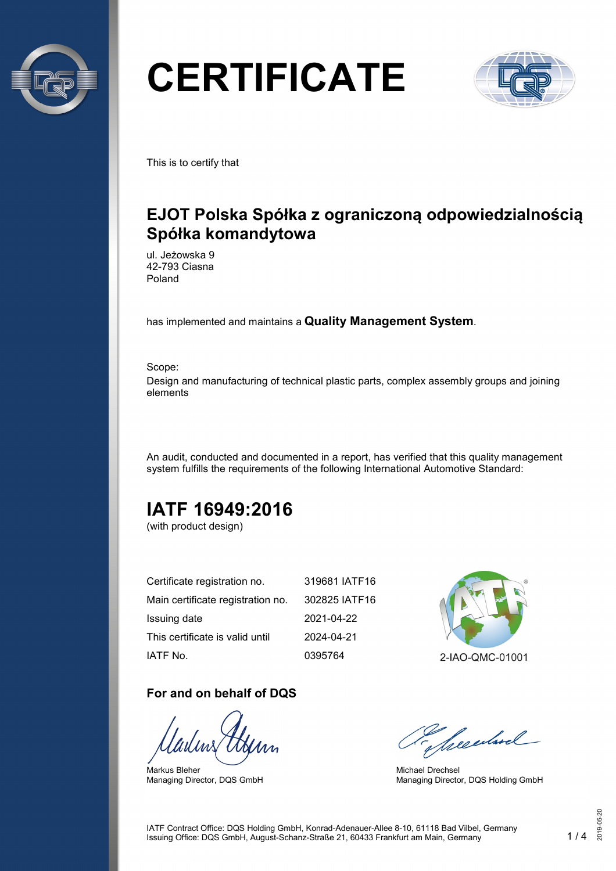

# **CERTIFICATE**



This is to certify that

## **EJOT Polska Spółka z ograniczoną odpowiedzialnością Spółka komandytowa**

ul. Jeżowska 9 42-793 Ciasna Poland

has implemented and maintains a **Quality Management System**.

Scope: Design and manufacturing of technical plastic parts, complex assembly groups and joining elements

An audit, conducted and documented in a report, has verified that this quality management system fulfills the requirements of the following International Automotive Standard:

## **IATF 16949:2016**

(with product design)

| Certificate registration no.      | 319681 IATF16 |
|-----------------------------------|---------------|
| Main certificate registration no. | 302825 IATF16 |
| Issuing date                      | 2021-04-22    |
| This certificate is valid until   | 2024-04-21    |
| IATF No.                          | 0395764       |

#### **For and on behalf of DQS**

Markus Bleher Managing Director, DQS GmbH



Seculard

Michael Drechsel Managing Director, DQS Holding GmbH

IATF Contract Office: DQS Holding GmbH, Konrad-Adenauer-Allee 8-10, 61118 Bad Vilbel, Germany Issuing Office: DQS GmbH, August-Schanz-Straße 21, 60433 Frankfurt am Main, Germany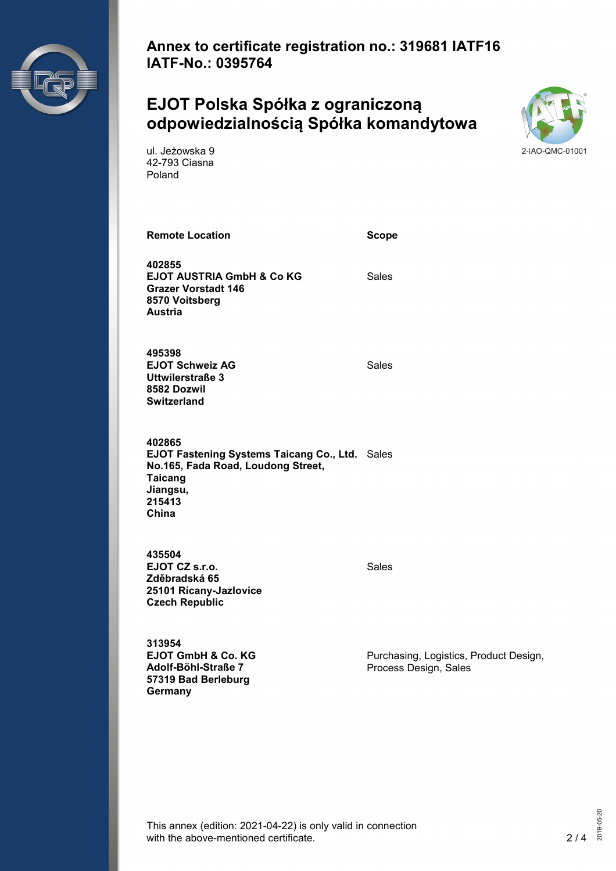

**Annex to certificate registration no.: 319681 IATF16 IATF-No.: 0395764**

### **EJOT Polska Spółka z ograniczoną odpowiedzialnością Spółka komandytowa**



ul. Jeżowska 9 42-793 Ciasna Poland

**Remote Location Scope**

**402855 EJOT AUSTRIA GmbH & Co KG Grazer Vorstadt 146 8570 Voitsberg Austria**

Sales

**495398 EJOT Schweiz AG Uttwilerstraße 3 8582 Dozwil Switzerland**

Sales

**402865 EJOT Fastening Systems Taicang Co., Ltd.** Sales **No.165, Fada Road, Loudong Street, Taicang Jiangsu, 215413 China**

**435504 EJOT CZ s.r.o. Zděbradská 65 25101 Rícany-Jazlovice Czech Republic**

Sales

**313954 EJOT GmbH & Co. KG Adolf-Böhl-Straße 7 57319 Bad Berleburg Germany**

Purchasing, Logistics, Product Design, Process Design, Sales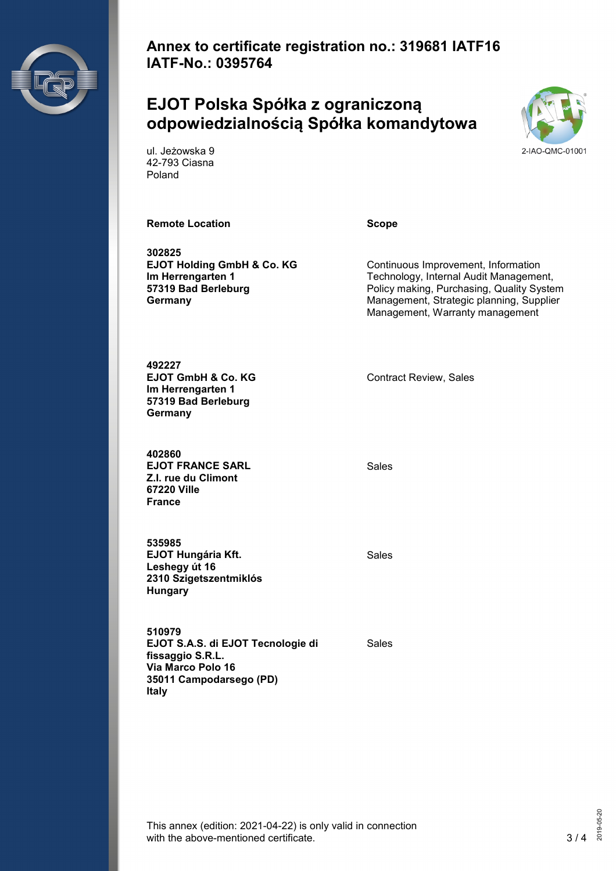

**Annex to certificate registration no.: 319681 IATF16 IATF-No.: 0395764**

### **EJOT Polska Spółka z ograniczoną odpowiedzialnością Spółka komandytowa**



ul. Jeżowska 9 42-793 Ciasna Poland

#### **Remote Location CONSIDERENT SCOPE**

**302825 EJOT Holding GmbH & Co. KG Im Herrengarten 1 57319 Bad Berleburg Germany**

Continuous Improvement, Information Technology, Internal Audit Management, Policy making, Purchasing, Quality System Management, Strategic planning, Supplier Management, Warranty management

**492227 EJOT GmbH & Co. KG Im Herrengarten 1 57319 Bad Berleburg Germany**

**402860 EJOT FRANCE SARL Z.I. rue du Climont 67220 Ville France**

**535985 EJOT Hungária Kft. Leshegy út 16 2310 Szigetszentmiklós Hungary**

Contract Review, Sales

Sales

Sales

**510979 EJOT S.A.S. di EJOT Tecnologie di fissaggio S.R.L. Via Marco Polo 16 35011 Campodarsego (PD) Italy**

Sales